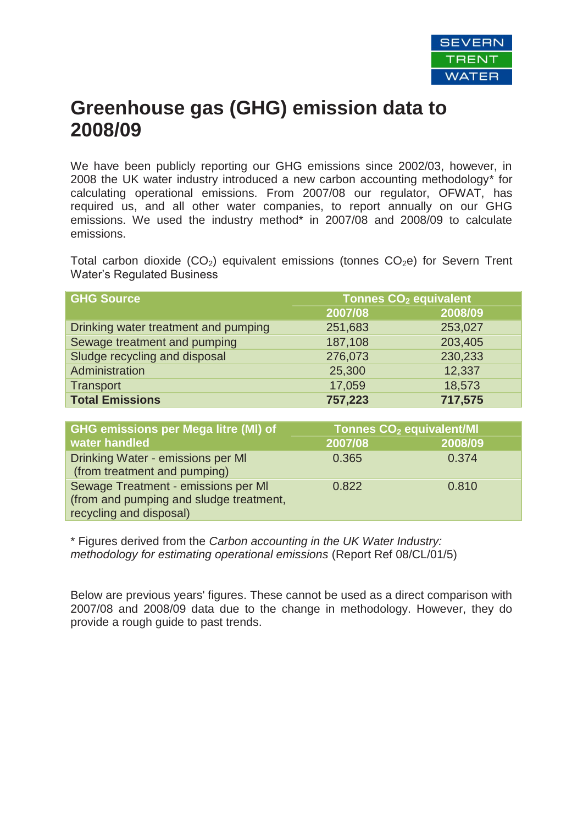

## **Greenhouse gas (GHG) emission data to 2008/09**

We have been publicly reporting our GHG emissions since 2002/03, however, in 2008 the UK water industry introduced a new carbon accounting methodology\* for calculating operational emissions. From 2007/08 our regulator, OFWAT, has required us, and all other water companies, to report annually on our GHG emissions. We used the industry method<sup>\*</sup> in 2007/08 and 2008/09 to calculate emissions.

Total carbon dioxide  $(CO<sub>2</sub>)$  equivalent emissions (tonnes  $CO<sub>2</sub>e$ ) for Severn Trent Water's Regulated Business

| <b>GHG Source</b>                    | <b>Tonnes CO<sub>2</sub> equivalent</b> |         |  |
|--------------------------------------|-----------------------------------------|---------|--|
|                                      | 2007/08                                 | 2008/09 |  |
| Drinking water treatment and pumping | 251,683                                 | 253,027 |  |
| Sewage treatment and pumping         | 187,108                                 | 203,405 |  |
| Sludge recycling and disposal        | 276,073                                 | 230,233 |  |
| Administration                       | 25,300                                  | 12,337  |  |
| <b>Transport</b>                     | 17,059                                  | 18,573  |  |
| <b>Total Emissions</b>               | 757,223                                 | 717,575 |  |

| <b>GHG emissions per Mega litre (MI) of</b>                                                               | Tonnes CO <sub>2</sub> equivalent/MI |         |  |
|-----------------------------------------------------------------------------------------------------------|--------------------------------------|---------|--|
| <b>water handled</b>                                                                                      | 2007/08                              | 2008/09 |  |
| Drinking Water - emissions per MI<br>(from treatment and pumping)                                         | 0.365                                | 0.374   |  |
| Sewage Treatment - emissions per MI<br>(from and pumping and sludge treatment,<br>recycling and disposal) | 0.822                                | 0.810   |  |

\* Figures derived from the *Carbon accounting in the UK Water Industry: methodology for estimating operational emissions* (Report Ref 08/CL/01/5)

Below are previous years' figures. These cannot be used as a direct comparison with 2007/08 and 2008/09 data due to the change in methodology. However, they do provide a rough guide to past trends.